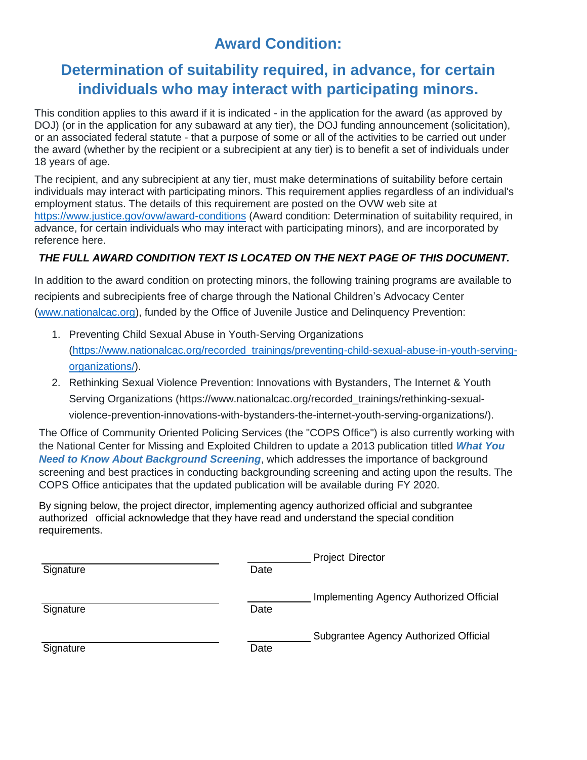## **Award Condition:**

## **Determination of suitability required, in advance, for certain individuals who may interact with participating minors.**

This condition applies to this award if it is indicated - in the application for the award (as approved by DOJ) (or in the application for any subaward at any tier), the DOJ funding announcement (solicitation), or an associated federal statute - that a purpose of some or all of the activities to be carried out under the award (whether by the recipient or a subrecipient at any tier) is to benefit a set of individuals under 18 years of age.

The recipient, and any subrecipient at any tier, must make determinations of suitability before certain individuals may interact with participating minors. This requirement applies regardless of an individual's employment status. The details of this requirement are posted on the OVW web site at <https://www.justice.gov/ovw/award-conditions> (Award condition: Determination of suitability required, in advance, for certain individuals who may interact with participating minors), and are incorporated by reference here.

## *THE FULL AWARD CONDITION TEXT IS LOCATED ON THE NEXT PAGE OF THIS DOCUMENT.*

In addition to the award condition on protecting minors, the following training programs are available to recipients and subrecipients free of charge through the National Children's Advocacy Center [\(www.nationalcac.org\)](http://www.nationalcac.org/), funded by the Office of Juvenile Justice and Delinquency Prevention:

- 1. Preventing Child Sexual Abuse in Youth-Serving Organizations [\(https://www.nationalcac.org/recorded\\_trainings/preventing-child-sexual-abuse-in-youth-serving](https://www.nationalcac.org/recorded_trainings/preventing-child-sexual-abuse-in-youth-serving-organizations/)[organizations/\)](https://www.nationalcac.org/recorded_trainings/preventing-child-sexual-abuse-in-youth-serving-organizations/).
- 2. Rethinking Sexual Violence Prevention: Innovations with Bystanders, The Internet & Youth Serving Organizations [\(https://www.nationalcac.org/recorded\\_trainings/rethinking-sexual](https://www.nationalcac.org/recorded_trainings/rethinking-sexual-violence-prevention-innovations-with-bystanders-the-internet-youth-serving-organizations/)[violence-prevention-innovations-with-bystanders-the-internet-youth-serving-organizations/\)](https://www.nationalcac.org/recorded_trainings/rethinking-sexual-violence-prevention-innovations-with-bystanders-the-internet-youth-serving-organizations/).

The Office of Community Oriented Policing Services (the "COPS Office") is also currently working with the National Center for Missing and Exploited Children to update a 2013 publication titled *[What You](https://cops.usdoj.gov/RIC/ric.php?page=detail&id=COPS-P260)  [Need to Know About Background Screening](https://cops.usdoj.gov/RIC/ric.php?page=detail&id=COPS-P260)*, which addresses the importance of background screening and best practices in conducting backgrounding screening and acting upon the results. The COPS Office anticipates that the updated publication will be available during FY 2020.

By signing below, the project director, implementing agency authorized official and subgrantee authorized official acknowledge that they have read and understand the special condition requirements.

|           |      | <b>Project Director</b>                 |
|-----------|------|-----------------------------------------|
| Signature | Date |                                         |
|           |      | Implementing Agency Authorized Official |
| Signature | Date |                                         |
|           |      | Subgrantee Agency Authorized Official   |
| Signature | Date |                                         |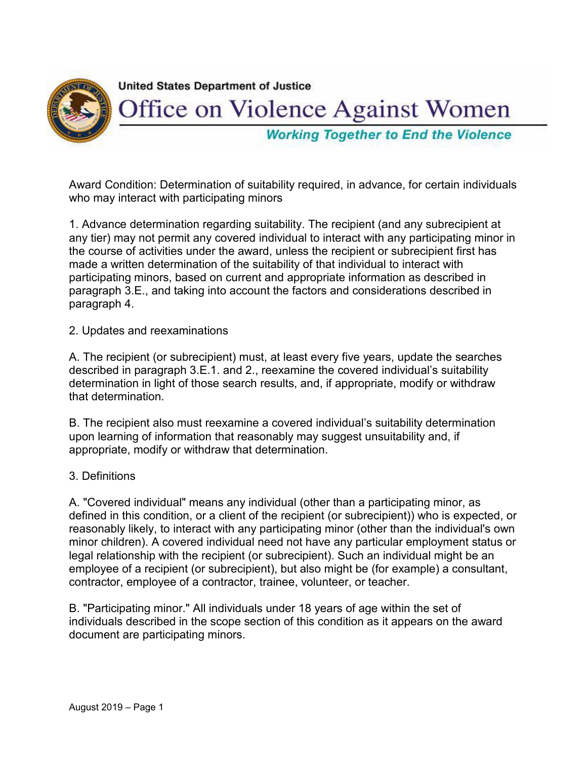

Award Condition: Determination of suitability required, in advance, for certain individuals who may interact with participating minors

1. Advance determination regarding suitability. The recipient (and any subrecipient at any tier) may not permit any covered individual to interact with any participating minor in the course of activities under the award, unless the recipient or subrecipient first has made a written determination of the suitability of that individual to interact with participating minors, based on current and appropriate information as described in paragraph 3.E., and taking into account the factors and considerations described in paragraph 4.

2. Updates and reexaminations

A. The recipient (or subrecipient) must, at least every five years, update the searches described in paragraph 3.E.1. and 2., reexamine the covered individual's suitability determination in light of those search results, and, if appropriate, modify or withdraw that determination.

B. The recipient also must reexamine a covered individual's suitability determination upon learning of information that reasonably may suggest unsuitability and, if appropriate, modify or withdraw that determination.

## 3. Definitions

A. "Covered individual" means any individual (other than a participating minor, as defined in this condition, or a client of the recipient (or subrecipient)) who is expected, or reasonably likely, to interact with any participating minor (other than the individual's own minor children). A covered individual need not have any particular employment status or legal relationship with the recipient (or subrecipient). Such an individual might be an employee of a recipient (or subrecipient), but also might be (for example) a consultant, contractor, employee of a contractor, trainee, volunteer, or teacher.

B. "Participating minor." All individuals under 18 years of age within the set of individuals described in the scope section of this condition as it appears on the award document are participating minors.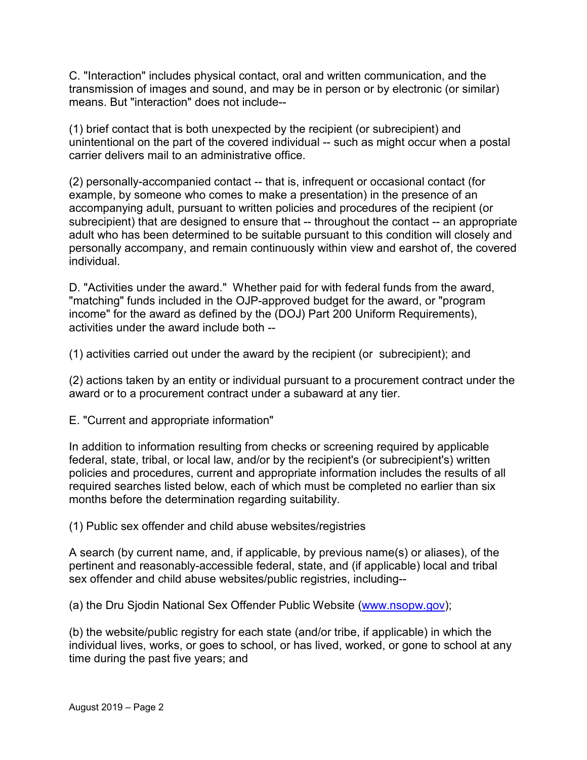C. "Interaction" includes physical contact, oral and written communication, and the transmission of images and sound, and may be in person or by electronic (or similar) means. But "interaction" does not include--

(1) brief contact that is both unexpected by the recipient (or subrecipient) and unintentional on the part of the covered individual -- such as might occur when a postal carrier delivers mail to an administrative office.

(2) personally-accompanied contact -- that is, infrequent or occasional contact (for example, by someone who comes to make a presentation) in the presence of an accompanying adult, pursuant to written policies and procedures of the recipient (or subrecipient) that are designed to ensure that -- throughout the contact -- an appropriate adult who has been determined to be suitable pursuant to this condition will closely and personally accompany, and remain continuously within view and earshot of, the covered individual.

D. "Activities under the award." Whether paid for with federal funds from the award, "matching" funds included in the OJP-approved budget for the award, or "program income" for the award as defined by the (DOJ) Part 200 Uniform Requirements), activities under the award include both --

(1) activities carried out under the award by the recipient (or subrecipient); and

(2) actions taken by an entity or individual pursuant to a procurement contract under the award or to a procurement contract under a subaward at any tier.

E. "Current and appropriate information"

In addition to information resulting from checks or screening required by applicable federal, state, tribal, or local law, and/or by the recipient's (or subrecipient's) written policies and procedures, current and appropriate information includes the results of all required searches listed below, each of which must be completed no earlier than six months before the determination regarding suitability.

(1) Public sex offender and child abuse websites/registries

A search (by current name, and, if applicable, by previous name(s) or aliases), of the pertinent and reasonably-accessible federal, state, and (if applicable) local and tribal sex offender and child abuse websites/public registries, including--

(a) the Dru Sjodin National Sex Offender Public Website [\(www.nsopw.gov\)](http://www.nsopw.gov/);

(b) the website/public registry for each state (and/or tribe, if applicable) in which the individual lives, works, or goes to school, or has lived, worked, or gone to school at any time during the past five years; and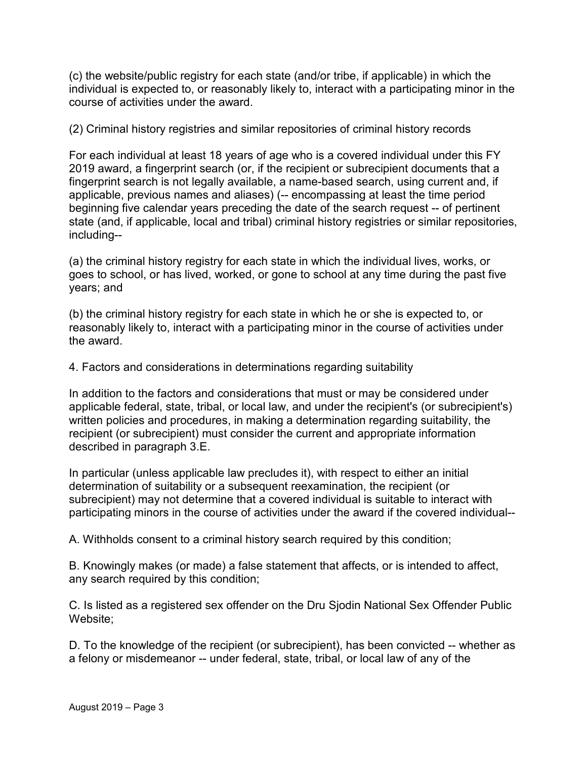(c) the website/public registry for each state (and/or tribe, if applicable) in which the individual is expected to, or reasonably likely to, interact with a participating minor in the course of activities under the award.

(2) Criminal history registries and similar repositories of criminal history records

For each individual at least 18 years of age who is a covered individual under this FY 2019 award, a fingerprint search (or, if the recipient or subrecipient documents that a fingerprint search is not legally available, a name-based search, using current and, if applicable, previous names and aliases) (-- encompassing at least the time period beginning five calendar years preceding the date of the search request -- of pertinent state (and, if applicable, local and tribal) criminal history registries or similar repositories, including--

(a) the criminal history registry for each state in which the individual lives, works, or goes to school, or has lived, worked, or gone to school at any time during the past five years; and

(b) the criminal history registry for each state in which he or she is expected to, or reasonably likely to, interact with a participating minor in the course of activities under the award.

4. Factors and considerations in determinations regarding suitability

In addition to the factors and considerations that must or may be considered under applicable federal, state, tribal, or local law, and under the recipient's (or subrecipient's) written policies and procedures, in making a determination regarding suitability, the recipient (or subrecipient) must consider the current and appropriate information described in paragraph 3.E.

In particular (unless applicable law precludes it), with respect to either an initial determination of suitability or a subsequent reexamination, the recipient (or subrecipient) may not determine that a covered individual is suitable to interact with participating minors in the course of activities under the award if the covered individual--

A. Withholds consent to a criminal history search required by this condition;

B. Knowingly makes (or made) a false statement that affects, or is intended to affect, any search required by this condition;

C. Is listed as a registered sex offender on the Dru Sjodin National Sex Offender Public Website;

D. To the knowledge of the recipient (or subrecipient), has been convicted -- whether as a felony or misdemeanor -- under federal, state, tribal, or local law of any of the